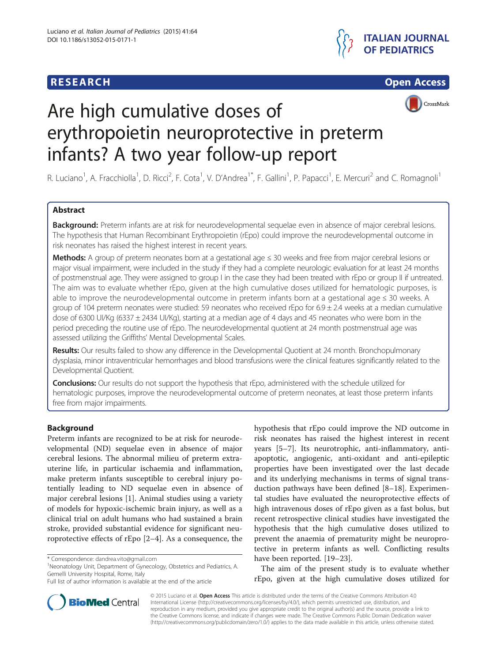## **RESEARCH RESEARCH** *CHECKER CHECKER CHECKER CHECKER CHECKER CHECKER CHECKER CHECKER CHECKER CHECKER CHECKER*





# Are high cumulative doses of erythropoietin neuroprotective in preterm infants? A two year follow-up report

R. Luciano<sup>1</sup>, A. Fracchiolla<sup>1</sup>, D. Ricci<sup>2</sup>, F. Cota<sup>1</sup>, V. D'Andrea<sup>1\*</sup>, F. Gallini<sup>1</sup>, P. Papacci<sup>1</sup>, E. Mercuri<sup>2</sup> and C. Romagnoli<sup>1</sup>

### Abstract

Background: Preterm infants are at risk for neurodevelopmental sequelae even in absence of major cerebral lesions. The hypothesis that Human Recombinant Erythropoietin (rEpo) could improve the neurodevelopmental outcome in risk neonates has raised the highest interest in recent years.

Methods: A group of preterm neonates born at a gestational age ≤ 30 weeks and free from major cerebral lesions or major visual impairment, were included in the study if they had a complete neurologic evaluation for at least 24 months of postmenstrual age. They were assigned to group I in the case they had been treated with rEpo or group II if untreated. The aim was to evaluate whether rEpo, given at the high cumulative doses utilized for hematologic purposes, is able to improve the neurodevelopmental outcome in preterm infants born at a gestational age ≤ 30 weeks. A group of 104 preterm neonates were studied: 59 neonates who received rEpo for 6.9 ± 2.4 weeks at a median cumulative dose of 6300 UI/Kg (6337 ± 2434 UI/Kg), starting at a median age of 4 days and 45 neonates who were born in the period preceding the routine use of rEpo. The neurodevelopmental quotient at 24 month postmenstrual age was assessed utilizing the Griffiths' Mental Developmental Scales.

Results: Our results failed to show any difference in the Developmental Quotient at 24 month. Bronchopulmonary dysplasia, minor intraventricular hemorrhages and blood transfusions were the clinical features significantly related to the Developmental Quotient.

Conclusions: Our results do not support the hypothesis that rEpo, administered with the schedule utilized for hematologic purposes, improve the neurodevelopmental outcome of preterm neonates, at least those preterm infants free from major impairments.

### Background

Preterm infants are recognized to be at risk for neurodevelopmental (ND) sequelae even in absence of major cerebral lesions. The abnormal milieu of preterm extrauterine life, in particular ischaemia and inflammation, make preterm infants susceptible to cerebral injury potentially leading to ND sequelae even in absence of major cerebral lesions [\[1](#page-4-0)]. Animal studies using a variety of models for hypoxic-ischemic brain injury, as well as a clinical trial on adult humans who had sustained a brain stroke, provided substantial evidence for significant neuroprotective effects of rEpo [[2](#page-4-0)–[4\]](#page-4-0). As a consequence, the

<sup>1</sup>Neonatology Unit, Department of Gynecology, Obstetrics and Pediatrics, A. Gemelli University Hospital, Rome, Italy

hypothesis that rEpo could improve the ND outcome in risk neonates has raised the highest interest in recent years [\[5](#page-4-0)–[7\]](#page-4-0). Its neurotrophic, anti-inflammatory, antiapoptotic, angiogenic, anti-oxidant and anti-epileptic properties have been investigated over the last decade and its underlying mechanisms in terms of signal transduction pathways have been defined [\[8](#page-4-0)–[18](#page-4-0)]. Experimental studies have evaluated the neuroprotective effects of high intravenous doses of rEpo given as a fast bolus, but recent retrospective clinical studies have investigated the hypothesis that the high cumulative doses utilized to prevent the anaemia of prematurity might be neuroprotective in preterm infants as well. Conflicting results have been reported. [[19](#page-4-0)–[23](#page-5-0)].

The aim of the present study is to evaluate whether rEpo, given at the high cumulative doses utilized for



© 2015 Luciano et al. Open Access This article is distributed under the terms of the Creative Commons Attribution 4.0 International License [\(http://creativecommons.org/licenses/by/4.0/](http://creativecommons.org/licenses/by/4.0/)), which permits unrestricted use, distribution, and reproduction in any medium, provided you give appropriate credit to the original author(s) and the source, provide a link to the Creative Commons license, and indicate if changes were made. The Creative Commons Public Domain Dedication waiver [\(http://creativecommons.org/publicdomain/zero/1.0/](http://creativecommons.org/publicdomain/zero/1.0/)) applies to the data made available in this article, unless otherwise stated.

<sup>\*</sup> Correspondence: [dandrea.vito@gmail.com](mailto:dandrea.vito@gmail.com) <sup>1</sup>

Full list of author information is available at the end of the article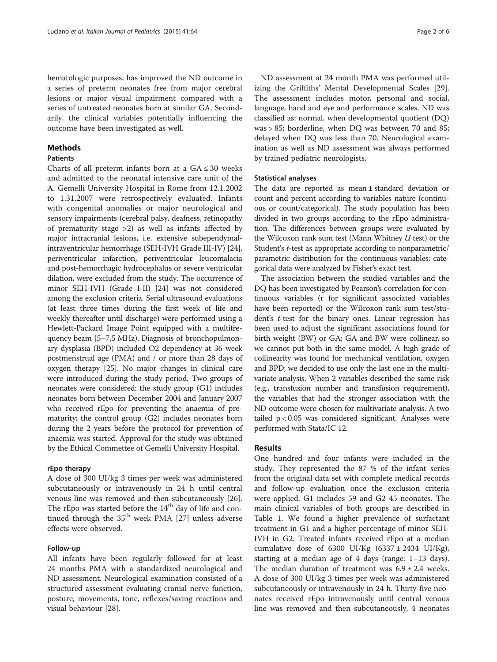hematologic purposes, has improved the ND outcome in a series of preterm neonates free from major cerebral lesions or major visual impairment compared with a series of untreated neonates born at similar GA. Secondarily, the clinical variables potentially influencing the outcome have been investigated as well.

#### **Methods**

#### **Patients**

Charts of all preterm infants born at a  $GA \leq 30$  weeks and admitted to the neonatal intensive care unit of the A. Gemelli University Hospital in Rome from 12.1.2002 to 1.31.2007 were retrospectively evaluated. Infants with congenital anomalies or major neurological and sensory impairments (cerebral palsy, deafness, retinopathy of prematurity stage >2) as well as infants affected by major intracranial lesions, i.e. extensive subependymalintraventricular hemorrhage (SEH-IVH Grade III-IV) [[24](#page-5-0)], periventricular infarction, periventricular leucomalacia and post-hemorrhagic hydrocephalus or severe ventricular dilation, were excluded from the study. The occurrence of minor SEH-IVH (Grade I-II) [\[24\]](#page-5-0) was not considered among the exclusion criteria. Serial ultrasound evaluations (at least three times during the first week of life and weekly thereafter until discharge) were performed using a Hewlett-Packard Image Point equipped with a multifrequency beam [5–7,5 MHz). Diagnosis of bronchopulmonary dysplasia (BPD) included O2 dependency at 36 week postmenstrual age (PMA) and / or more than 28 days of oxygen therapy [\[25](#page-5-0)]. No major changes in clinical care were introduced during the study period. Two groups of neonates were considered: the study group (G1) includes neonates born between December 2004 and January 2007 who received rEpo for preventing the anaemia of prematurity; the control group (G2) includes neonates born during the 2 years before the protocol for prevention of anaemia was started. Approval for the study was obtained by the Ethical Commettee of Gemelli University Hospital.

#### rEpo therapy

A dose of 300 UI/kg 3 times per week was administered subcutaneously or intravenously in 24 h until central venous line was removed and then subcutaneously [\[26](#page-5-0)]. The rEpo was started before the 14<sup>th</sup> day of life and continued through the  $35<sup>th</sup>$  week PMA [[27\]](#page-5-0) unless adverse effects were observed.

#### Follow-up

All infants have been regularly followed for at least 24 months PMA with a standardized neurological and ND assessment. Neurological examination consisted of a structured assessment evaluating cranial nerve function, posture, movements, tone, reflexes/saving reactions and visual behaviour [\[28\]](#page-5-0).

ND assessment at 24 month PMA was performed utilizing the Griffiths' Mental Developmental Scales [\[29](#page-5-0)]. The assessment includes motor, personal and social, language, hand and eye and performance scales. ND was classified as: normal, when developmental quotient (DQ) was > 85; borderline, when DQ was between 70 and 85; delayed when DQ was less than 70. Neurological examination as well as ND assessment was always performed by trained pediatric neurologists.

#### Statistical analyses

The data are reported as mean ± standard deviation or count and percent according to variables nature (continuous or count/categorical). The study population has been divided in two groups according to the rEpo administration. The differences between groups were evaluated by the Wilcoxon rank sum test (Mann Whitney  $U$  test) or the Student's t-test as appropriate according to nonparametric/ parametric distribution for the continuous variables; categorical data were analyzed by Fisher's exact test.

The association between the studied variables and the DQ has been investigated by Pearson's correlation for continuous variables (r for significant associated variables have been reported) or the Wilcoxon rank sum test/student's t-test for the binary ones. Linear regression has been used to adjust the significant associations found for birth weight (BW) or GA; GA and BW were collinear, so we cannot put both in the same model. A high grade of collinearity was found for mechanical ventilation, oxygen and BPD; we decided to use only the last one in the multivariate analysis. When 2 variables described the same risk (e.g., transfusion number and transfusion requirement), the variables that had the stronger association with the ND outcome were chosen for multivariate analysis. A two tailed p < 0.05 was considered significant. Analyses were performed with Stata/IC 12.

#### Results

One hundred and four infants were included in the study. They represented the 87 % of the infant series from the original data set with complete medical records and follow-up evaluation once the exclusion criteria were applied. G1 includes 59 and G2 45 neonates. The main clinical variables of both groups are described in Table [1](#page-2-0). We found a higher prevalence of surfactant treatment in G1 and a higher percentage of minor SEH-IVH in G2. Treated infants received rEpo at a median cumulative dose of 6300 UI/Kg  $(6337 \pm 2434 \text{ UI/Kg})$ , starting at a median age of 4 days (range: 1–13 days). The median duration of treatment was  $6.9 \pm 2.4$  weeks. A dose of 300 UI/kg 3 times per week was administered subcutaneously or intravenously in 24 h. Thirty-five neonates received rEpo intravenously until central venous line was removed and then subcutaneously, 4 neonates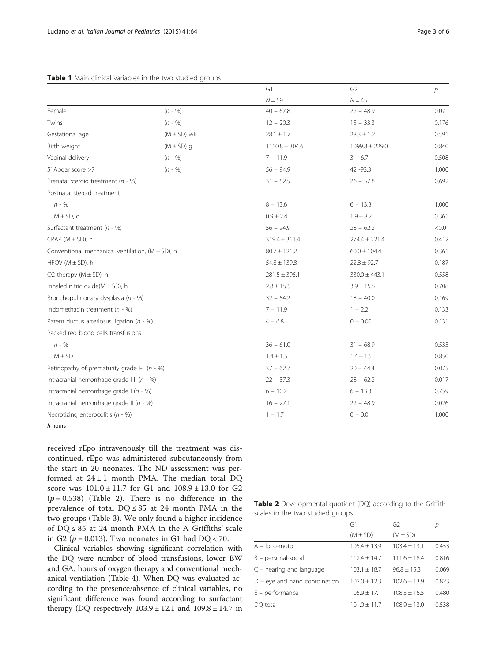#### <span id="page-2-0"></span>Table 1 Main clinical variables in the two studied groups

|                                                        |                     | G1                 | G <sub>2</sub>     | $\overline{p}$ |
|--------------------------------------------------------|---------------------|--------------------|--------------------|----------------|
|                                                        |                     | $N = 59$           | $N = 45$           |                |
| Female                                                 | $(n - 96)$          | $40 - 67.8$        | $22 - 48.9$        | 0.07           |
| Twins                                                  | $(n - 96)$          | $12 - 20.3$        | $15 - 33.3$        | 0.176          |
| Gestational age                                        | $(M \pm SD)$ wk     | $28.1 \pm 1.7$     | $28.3 \pm 1.2$     | 0.591          |
| Birth weight                                           | $(M \pm SD)$ q      | $1110.8 \pm 304.6$ | $1099.8 \pm 229.0$ | 0.840          |
| Vaginal delivery                                       | $(n - 96)$          | $7 - 11.9$         | $3 - 6.7$          | 0.508          |
| 5' Apgar score >7                                      | $(n - \frac{9}{6})$ | $56 - 94.9$        | 42 - 93.3          | 1.000          |
| Prenatal steroid treatment ( $n - %$ )                 |                     | $31 - 52.5$        | $26 - 57.8$        | 0.692          |
| Postnatal steroid treatment                            |                     |                    |                    |                |
| $n - %$                                                |                     | $8 - 13.6$         | $6 - 13.3$         | 1.000          |
| $M \pm SD$ , d                                         |                     | $0.9 \pm 2.4$      | $1.9 \pm 8.2$      | 0.361          |
| Surfactant treatment ( $n - %$ )                       |                     | $56 - 94.9$        | $28 - 62.2$        | < 0.01         |
| CPAP $(M \pm SD)$ , h                                  |                     | $319.4 \pm 311.4$  | $274.4 \pm 221.4$  | 0.412          |
| Conventional mechanical ventilation, ( $M \pm SD$ ), h |                     | $80.7 \pm 121.2$   | $60.0 \pm 104.4$   | 0.361          |
| HFOV ( $M \pm SD$ ), h                                 |                     | $54.8 \pm 139.8$   | $22.8 \pm 92.7$    | 0.187          |
| O2 therapy $(M \pm SD)$ , h                            |                     | $281.5 \pm 395.1$  | $330.0 \pm 443.1$  | 0.558          |
| Inhaled nitric oxide( $M \pm SD$ ), h                  |                     | $2.8 \pm 15.5$     | $3.9 \pm 15.5$     | 0.708          |
| Bronchopulmonary dysplasia (n - %)                     |                     | $32 - 54.2$        | $18 - 40.0$        | 0.169          |
| Indomethacin treatment ( $n - %$ )                     |                     | $7 - 11.9$         | $1 - 2.2$          | 0.133          |
| Patent ductus arteriosus ligation ( $n - %$ )          |                     | $4 - 6.8$          | $0 - 0.00$         | 0.131          |
| Packed red blood cells transfusions                    |                     |                    |                    |                |
| $n - 96$                                               |                     | $36 - 61.0$        | $31 - 68.9$        | 0.535          |
| $M \pm SD$                                             |                     | $1.4 \pm 1.5$      | $1.4 \pm 1.5$      | 0.850          |
| Retinopathy of prematurity grade I-II ( $n - %$ )      |                     | $37 - 62.7$        | $20 - 44.4$        | 0.075          |
| Intracranial hemorrhage grade I-II ( $n - %$ )         |                     | $22 - 37.3$        | $28 - 62.2$        | 0.017          |
| Intracranial hemorrhage grade $1(n - %$                |                     | $6 - 10.2$         | $6 - 13.3$         | 0.759          |
| Intracranial hemorrhage grade II ( $n - %$ )           |                     | $16 - 27.1$        | $22 - 48.9$        | 0.026          |
| Necrotizing enterocolitis ( $n - %$ )                  |                     | $1 - 1.7$          | $0 - 0.0$          | 1.000          |

h hours

received rEpo intravenously till the treatment was discontinued. rEpo was administered subcutaneously from the start in 20 neonates. The ND assessment was performed at  $24 \pm 1$  month PMA. The median total DQ score was 101.0 ± 11.7 for G1 and 108.9 ± 13.0 for G2  $(p = 0.538)$  (Table 2). There is no difference in the prevalence of total  $DQ \leq 85$  at 24 month PMA in the two groups (Table [3](#page-3-0)). We only found a higher incidence of DQ ≤ 85 at 24 month PMA in the A Griffiths' scale in G2 ( $p = 0.013$ ). Two neonates in G1 had DQ < 70.

Clinical variables showing significant correlation with the DQ were number of blood transfusions, lower BW and GA, hours of oxygen therapy and conventional mechanical ventilation (Table [4](#page-3-0)). When DQ was evaluated according to the presence/absence of clinical variables, no significant difference was found according to surfactant therapy (DQ respectively  $103.9 \pm 12.1$  and  $109.8 \pm 14.7$  in

|  |  | <b>Table 2</b> Developmental quotient (DQ) according to the Griffith |  |  |  |
|--|--|----------------------------------------------------------------------|--|--|--|
|  |  | scales in the two studied groups                                     |  |  |  |

|                                 | G1               | G <sub>2</sub>   | р     |
|---------------------------------|------------------|------------------|-------|
|                                 | $(M \pm SD)$     | $(M \pm SD)$     |       |
| $A - loco$ -motor               | $105.4 + 13.9$   | $103.4 \pm 13.1$ | 0.453 |
| $B$ – personal-social           | $112.4 + 14.7$   | $111.6 + 18.4$   | 0.816 |
| $C$ – hearing and language      | $103.1 + 18.7$   | $96.8 + 15.3$    | 0.069 |
| $D$ – eye and hand coordination | $102.0 + 12.3$   | $102.6 + 13.9$   | 0.823 |
| $E$ – performance               | $105.9 + 17.1$   | $108.3 + 16.5$   | 0.480 |
| DQ total                        | $101.0 \pm 11.7$ | $108.9 \pm 13.0$ | 0.538 |
|                                 |                  |                  |       |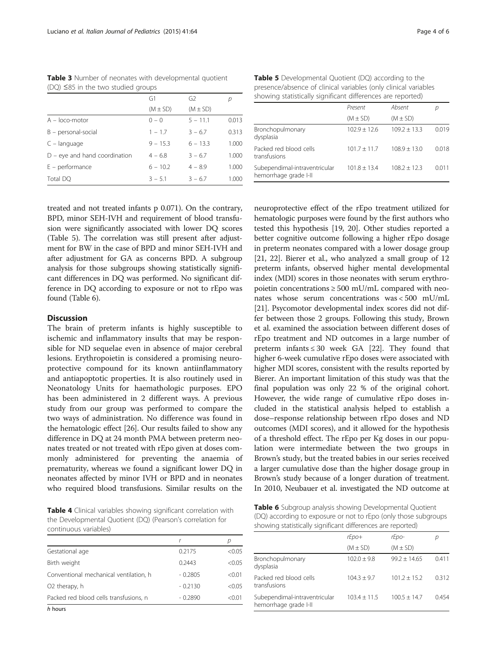|  | Page 4 of 6 |  |  |  |
|--|-------------|--|--|--|
|--|-------------|--|--|--|

|                                 | G1           | G2           | р     |
|---------------------------------|--------------|--------------|-------|
|                                 | $(M \pm SD)$ | $(M \pm SD)$ |       |
| $A - loco$ -motor               | $0 - 0$      | $5 - 11.1$   | 0.013 |
| $B - personal-social$           | $1 - 1.7$    | $3 - 6.7$    | 0.313 |
| $C -$ language                  | $9 - 15.3$   | $6 - 13.3$   | 1.000 |
| $D$ – eye and hand coordination | $4 - 6.8$    | $3 - 6.7$    | 1.000 |
| $E$ – performance               | $6 - 10.2$   | $4 - 8.9$    | 1.000 |
| Total DO                        | $3 - 5.1$    | $3 - 6.7$    | 1.000 |

<span id="page-3-0"></span>Table 3 Number of neonates with developmental quotient (DQ) ≤85 in the two studied groups

Table 5 Developmental Quotient (DQ) according to the presence/absence of clinical variables (only clinical variables showing statistically significant differences are reported)

|                                                        | Present        | Absent         |       |
|--------------------------------------------------------|----------------|----------------|-------|
|                                                        | $(M \pm SD)$   | $(M \pm SD)$   |       |
| Bronchopulmonary<br>dysplasia                          | $102.9 + 12.6$ | $109.2 + 13.3$ | 0.019 |
| Packed red blood cells<br>transfusions                 | $101.7 + 11.7$ | $108.9 + 13.0$ | 0.018 |
| Subependimal-intraventricular<br>hemorrhage grade I-II | $101.8 + 13.4$ | $108.2 + 12.3$ | 0.011 |

neuroprotective effect of the rEpo treatment utilized for hematologic purposes were found by the first authors who tested this hypothesis [[19](#page-4-0), [20](#page-4-0)]. Other studies reported a

treated and not treated infants p 0.071). On the contrary, BPD, minor SEH-IVH and requirement of blood transfusion were significantly associated with lower DQ scores (Table 5). The correlation was still present after adjustment for BW in the case of BPD and minor SEH-IVH and after adjustment for GA as concerns BPD. A subgroup analysis for those subgroups showing statistically significant differences in DQ was performed. No significant difference in DQ according to exposure or not to rEpo was found (Table 6).

#### **Discussion**

The brain of preterm infants is highly susceptible to ischemic and inflammatory insults that may be responsible for ND sequelae even in absence of major cerebral lesions. Erythropoietin is considered a promising neuroprotective compound for its known antiinflammatory and antiapoptotic properties. It is also routinely used in Neonatology Units for haemathologic purposes. EPO has been administered in 2 different ways. A previous study from our group was performed to compare the two ways of administration. No difference was found in the hematologic effect [[26](#page-5-0)]. Our results failed to show any difference in DQ at 24 month PMA between preterm neonates treated or not treated with rEpo given at doses commonly administered for preventing the anaemia of prematurity, whereas we found a significant lower DQ in neonates affected by minor IVH or BPD and in neonates who required blood transfusions. Similar results on the

better cognitive outcome following a higher rEpo dosage in preterm neonates compared with a lower dosage group [[21](#page-4-0), [22](#page-5-0)]. Bierer et al., who analyzed a small group of 12 preterm infants, observed higher mental developmental index (MDI) scores in those neonates with serum erythropoietin concentrations  $\geq 500$  mU/mL compared with neonates whose serum concentrations was < 500 mU/mL [[21](#page-4-0)]. Psycomotor developmental index scores did not differ between those 2 groups. Following this study, Brown et al. examined the association between different doses of rEpo treatment and ND outcomes in a large number of preterm infants  $\leq 30$  week GA [\[22](#page-5-0)]. They found that higher 6-week cumulative rEpo doses were associated with higher MDI scores, consistent with the results reported by Bierer. An important limitation of this study was that the final population was only 22 % of the original cohort. However, the wide range of cumulative rEpo doses included in the statistical analysis helped to establish a dose–response relationship between rEpo doses and ND outcomes (MDI scores), and it allowed for the hypothesis of a threshold effect. The rEpo per Kg doses in our population were intermediate between the two groups in Brown's study, but the treated babies in our series received a larger cumulative dose than the higher dosage group in Brown's study because of a longer duration of treatment. In 2010, Neubauer et al. investigated the ND outcome at

Table 4 Clinical variables showing significant correlation with the Developmental Quotient (DQ) (Pearson's correlation for continuous variables)

| Gestational age                        | 0.2175    | < 0.05 |
|----------------------------------------|-----------|--------|
| Birth weight                           | 0.2443    | < 0.05 |
| Conventional mechanical ventilation, h | $-0.2805$ | < 0.01 |
| O <sub>2</sub> therapy, h              | $-0.2130$ | < 0.05 |
| Packed red blood cells transfusions, n | $-0.2890$ | < 0.01 |
| h hours                                |           |        |

h hours

Table 6 Subgroup analysis showing Developmental Quotient (DQ) according to exposure or not to rEpo (only those subgroups showing statistically significant differences are reported)

|                                                        | rEpo+           | rEpo-          | р     |
|--------------------------------------------------------|-----------------|----------------|-------|
|                                                        | $(M \pm SD)$    | $(M \pm SD)$   |       |
| Bronchopulmonary<br>dysplasia                          | $102.0 \pm 9.8$ | $99.2 + 14.65$ | 0.411 |
| Packed red blood cells<br>transfusions                 | $104.3 + 9.7$   | $101.2 + 15.2$ | 0.312 |
| Subependimal-intraventricular<br>hemorrhage grade I-II | $103.4 + 11.5$  | $100.5 + 14.7$ | 0.454 |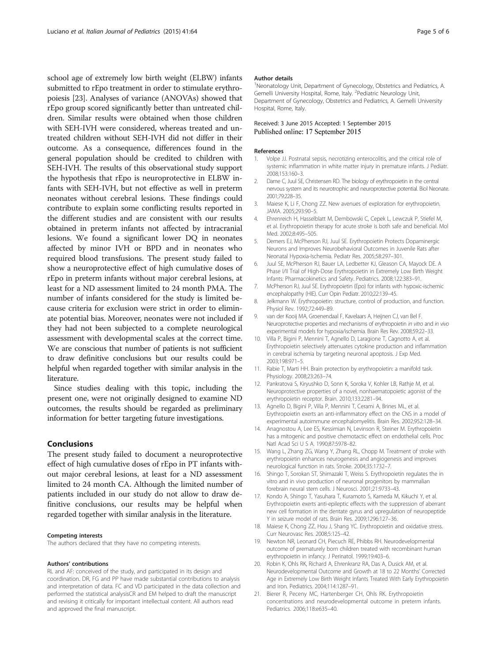<span id="page-4-0"></span>school age of extremely low birth weight (ELBW) infants submitted to rEpo treatment in order to stimulate erythropoiesis [[23](#page-5-0)]. Analyses of variance (ANOVAs) showed that rEpo group scored significantly better than untreated children. Similar results were obtained when those children with SEH-IVH were considered, whereas treated and untreated children without SEH-IVH did not differ in their outcome. As a consequence, differences found in the general population should be credited to children with SEH-IVH. The results of this observational study support the hypothesis that rEpo is neuroprotective in ELBW infants with SEH-IVH, but not effective as well in preterm neonates without cerebral lesions. These findings could contribute to explain some conflicting results reported in the different studies and are consistent with our results obtained in preterm infants not affected by intracranial lesions. We found a significant lower DQ in neonates affected by minor IVH or BPD and in neonates who required blood transfusions. The present study failed to show a neuroprotective effect of high cumulative doses of rEpo in preterm infants without major cerebral lesions, at least for a ND assessment limited to 24 month PMA. The number of infants considered for the study is limited because criteria for exclusion were strict in order to eliminate potential bias. Moreover, neonates were not included if they had not been subjected to a complete neurological assessment with developmental scales at the correct time. We are conscious that number of patients is not sufficient to draw definitive conclusions but our results could be helpful when regarded together with similar analysis in the literature.

Since studies dealing with this topic, including the present one, were not originally designed to examine ND outcomes, the results should be regarded as preliminary information for better targeting future investigations.

#### Conclusions

The present study failed to document a neuroprotective effect of high cumulative doses of rEpo in PT infants without major cerebral lesions, at least for a ND assessment limited to 24 month CA. Although the limited number of patients included in our study do not allow to draw definitive conclusions, our results may be helpful when regarded together with similar analysis in the literature.

#### Competing interests

The authors declared that they have no competing interests.

#### Authors' contributions

RL and AF: conceived of the study, and participated in its design and coordination. DR, FG and PP have made substantial contributions to analysis and interpretation of data. FC and VD participated in the data collection and performed the statistical analysisCR and EM helped to draft the manuscript and revising it critically for important intellectual content. All authors read and approved the final manuscript.

#### Author details

<sup>1</sup>Neonatology Unit, Department of Gynecology, Obstetrics and Pediatrics, A. Gemelli University Hospital, Rome, Italy. <sup>2</sup>Pediatric Neurology Unit Department of Gynecology, Obstetrics and Pediatrics, A. Gemelli University Hospital, Rome, Italy.

#### Received: 3 June 2015 Accepted: 1 September 2015 Published online: 17 September 2015

#### References

- Volpe JJ. Postnatal sepsis, necrotizing enterocolitis, and the critical role of systemic inflammation in white matter injury in premature infants. J Pediatr. 2008;153:160–3.
- 2. Dame C, Juul SE, Christensen RD. The biology of erythropoietin in the central nervous system and its neurotrophic and neuroprotective potential. Biol Neonate. 2001;79:228–35.
- 3. Maiese K, Li F, Chong ZZ. New avenues of exploration for erythropoietin. JAMA. 2005;293:90–5.
- 4. Ehrenreich H, Hasselblatt M, Dembowski C, Cepek L, Lewczuk P, Stiefel M, et al. Erythropoietin therapy for acute stroke is both safe and beneficial. Mol Med. 2002;8:495–505.
- 5. Demers EJ, McPherson RJ, Juul SE. Erythropoietin Protects Dopaminergic Neurons and Improves Neurobehavioral Outcomes in Juvenile Rats after Neonatal Hypoxia-Ischemia. Pediatr Res. 2005;58:297–301.
- 6. Juul SE, McPherson RJ, Bauer LA, Ledbetter KJ, Gleason CA, Mayock DE. A Phase I/II Trial of High-Dose Erythropoietin in Extremely Low Birth Weight Infants: Pharmacokinetics and Safety. Pediatrics. 2008;122:383–91.
- 7. McPherson RJ, Juul SE. Erythropoietin (Epo) for infants with hypoxic-ischemic encephalopathy (HIE). Curr Opin Pediatr. 2010;22:139–45.
- 8. Jelkmann W. Erythropoietin: structure, control of production, and function. Physiol Rev. 1992;72:449–89.
- 9. van der Kooij MA, Groenendaal F, Kavelaars A, Heijnen CJ, van Bel F. Neuroprotective properties and mechanisms of erythropoietin in vitro and in vivo experimental models for hypoxia/ischemia. Brain Res Rev. 2008;59:22–33.
- 10. Villa P, Bigini P, Mennini T, Agnello D, Laragione T, Cagnotto A, et al. Erythropoietin selectively attenuates cytokine production and inflammation in cerebral ischemia by targeting neuronal apoptosis. J Exp Med. 2003;198:971–5.
- 11. Rabie T, Marti HH. Brain protection by erythropoietin: a manifold task. Physiology. 2008;23:263–74.
- 12. Pankratova S, Kiryushko D, Sonn K, Soroka V, Kohler LB, Rathje M, et al. Neuroprotective properties of a novel, nonhaematopoietic agonist of the erythropoietin receptor. Brain. 2010;133:2281–94.
- 13. Agnello D, Bigini P, Villa P, Mennini T, Cerami A, Brines ML, et al. Erythropoietin exerts an anti-inflammatory effect on the CNS in a model of experimental autoimmune encephalomyelitis. Brain Res. 2002;952:128–34.
- 14. Anagnostou A, Lee ES, Kessimian N, Levinson R, Steiner M. Erythropoietin has a mitogenic and positive chemotactic effect on endothelial cells. Proc Natl Acad Sci U S A. 1990;87:5978–82.
- 15. Wang L, Zhang ZG, Wang Y, Zhang RL, Chopp M. Treatment of stroke with erythropoietin enhances neurogenesis and angiogenesis and improves neurological function in rats. Stroke. 2004;35:1732–7.
- 16. Shingo T, Sorokan ST, Shimazaki T, Weiss S. Erythropoietin regulates the in vitro and in vivo production of neuronal progenitors by mammalian forebrain neural stem cells. J Neurosci. 2001;21:9733–43.
- 17. Kondo A, Shingo T, Yasuhara T, Kuramoto S, Kameda M, Kikuchi Y, et al. Erythropoietin exerts anti-epileptic effects with the suppression of aberrant new cell formation in the dentate gyrus and upregulation of neuropeptide Y in seizure model of rats. Brain Res. 2009;1296:127–36.
- 18. Maiese K, Chong ZZ, Hou J, Shang YC. Erythropoietin and oxidative stress. Curr Neurovasc Res. 2008;5:125–42.
- 19. Newton NR, Leonard CH, Piecuch RE, Phibbs RH. Neurodevelopmental outcome of prematurely born children treated with recombinant human erythropoietin in infancy. J Perinatol. 1999;19:403–6.
- 20. Robin K, Ohls RK, Richard A, Ehrenkranz RA, Das A, Dusick AM, et al. Neurodevelopmental Outcome and Growth at 18 to 22 Months' Corrected Age in Extremely Low Birth Weight Infants Treated With Early Erythropoietin and Iron. Pediatrics. 2004;114:1287–91.
- 21. Bierer R, Peceny MC, Hartenberger CH, Ohls RK. Erythropoietin concentrations and neurodevelopmental outcome in preterm infants. Pediatrics. 2006;118:e635–40.